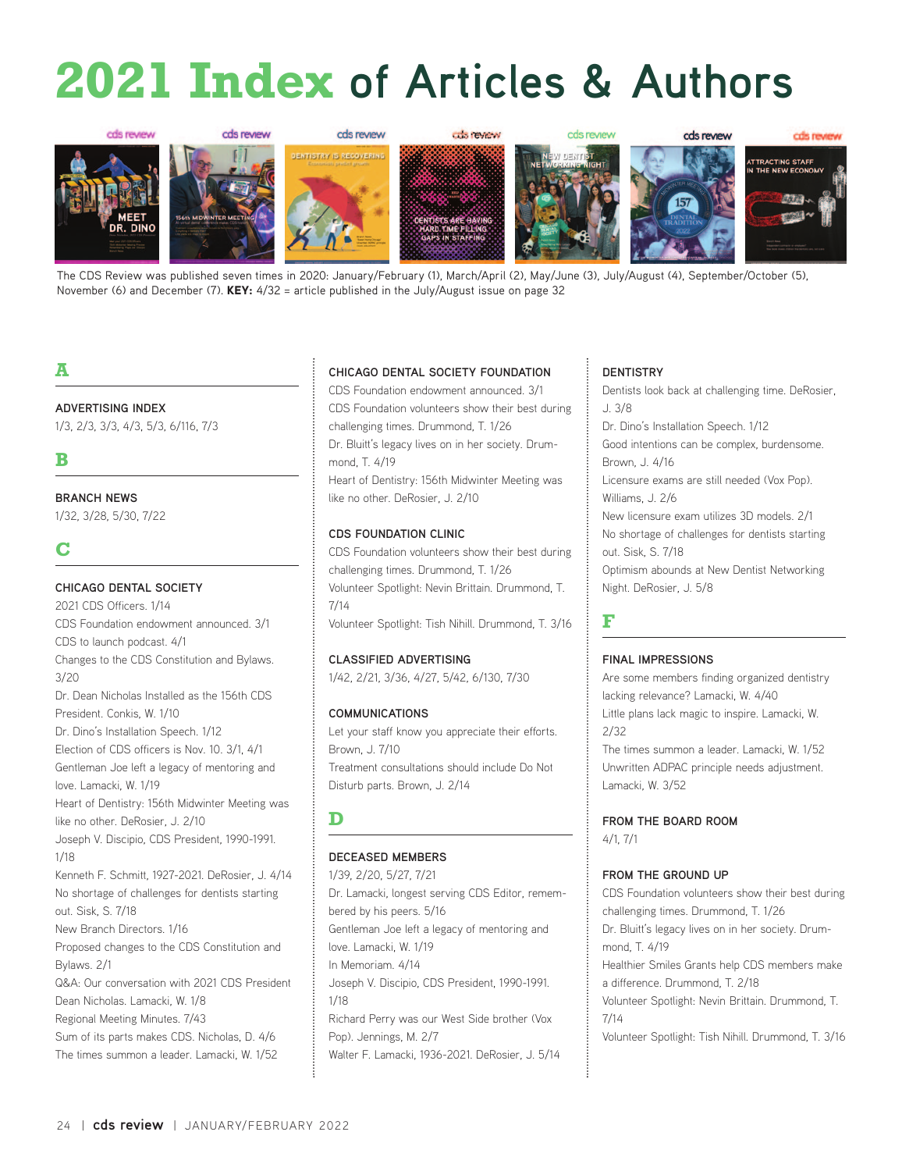# **2021 Index of Articles & Authors**



The CDS Review was published seven times in 2020: January/February (1), March/April (2), May/June (3), July/August (4), September/October (5), November (6) and December (7). KEY:  $4/32$  = article published in the July/August issue on page 32

## **A**

#### **ADVERTISING INDEX**

1/3, 2/3, 3/3, 4/3, 5/3, 6/116, 7/3

## **B**

#### **BRANCH NEWS**

1/32, 3/28, 5/30, 7/22

## **C**

#### **CHICAGO DENTAL SOCIETY**

2021 CDS Officers. 1/14 CDS Foundation endowment announced. 3/1 CDS to launch podcast. 4/1 Changes to the CDS Constitution and Bylaws.  $3/20$ Dr. Dean Nicholas Installed as the 156th CDS President. Conkis, W. 1/10 Dr. Dino's Installation Speech. 1/12 Election of CDS officers is Nov. 10. 3/1, 4/1 Gentleman Joe left a legacy of mentoring and love. Lamacki, W. 1/19 Heart of Dentistry: 156th Midwinter Meeting was like no other. DeRosier, J. 2/10 Joseph V. Discipio, CDS President, 1990-1991. 1/18 Kenneth F. Schmitt, 1927-2021. DeRosier, J. 4/14 No shortage of challenges for dentists starting out. Sisk, S. 7/18 New Branch Directors. 1/16 Proposed changes to the CDS Constitution and Bylaws. 2/1 Q&A: Our conversation with 2021 CDS President Dean Nicholas. Lamacki, W. 1/8 Regional Meeting Minutes. 7/43 Sum of its parts makes CDS. Nicholas, D. 4/6 The times summon a leader. Lamacki, W. 1/52

#### **CHICAGO DENTAL SOCIETY FOUNDATION**

CDS Foundation endowment announced. 3/1 CDS Foundation volunteers show their best during challenging times. Drummond, T. 1/26 Dr. Bluitt's legacy lives on in her society. Drummond, T. 4/19

Heart of Dentistry: 156th Midwinter Meeting was like no other. DeRosier, J. 2/10

#### **CDS FOUNDATION CLINIC**

CDS Foundation volunteers show their best during challenging times. Drummond, T. 1/26 Volunteer Spotlight: Nevin Brittain. Drummond, T. 7/14 Volunteer Spotlight: Tish Nihill. Drummond, T. 3/16

#### **CLASSIFIED ADVERTISING**

1/42, 2/21, 3/36, 4/27, 5/42, 6/130, 7/30

#### **COMMUNICATIONS**

Let your staff know you appreciate their efforts. Brown, J. 7/10 Treatment consultations should include Do Not Disturb parts. Brown, J. 2/14

## **D**

#### **DECEASED MEMBERS**

1/39, 2/20, 5/27, 7/21 Dr. Lamacki, longest serving CDS Editor, remembered by his peers. 5/16 Gentleman Joe left a legacy of mentoring and love. Lamacki, W. 1/19 In Memoriam. 4/14 Joseph V. Discipio, CDS President, 1990-1991. 1/18 Richard Perry was our West Side brother (Vox Pop). Jennings, M. 2/7 Walter F. Lamacki, 1936-2021. DeRosier, J. 5/14

#### **DENTISTRY**

Dentists look back at challenging time. DeRosier, J. 3/8

Dr. Dino's Installation Speech. 1/12

Good intentions can be complex, burdensome. Brown, J. 4/16

Licensure exams are still needed (Vox Pop). Williams, J. 2/6

New licensure exam utilizes 3D models. 2/1 No shortage of challenges for dentists starting out. Sisk, S. 7/18

Optimism abounds at New Dentist Networking Night. DeRosier, J. 5/8

#### **F**

#### **FINAL IMPRESSIONS**

Are some members finding organized dentistry lacking relevance? Lamacki, W. 4/40 Little plans lack magic to inspire. Lamacki, W. 2/32 The times summon a leader. Lamacki, W. 1/52 Unwritten ADPAC principle needs adjustment.

Lamacki, W. 3/52

**FROM THE BOARD ROOM** 4/1, 7/1

#### **FROM THE GROUND UP**

CDS Foundation volunteers show their best during challenging times. Drummond, T. 1/26 Dr. Bluitt's legacy lives on in her society. Drummond, T. 4/19 Healthier Smiles Grants help CDS members make a difference. Drummond, T. 2/18 Volunteer Spotlight: Nevin Brittain. Drummond, T. 7/14 Volunteer Spotlight: Tish Nihill. Drummond, T. 3/16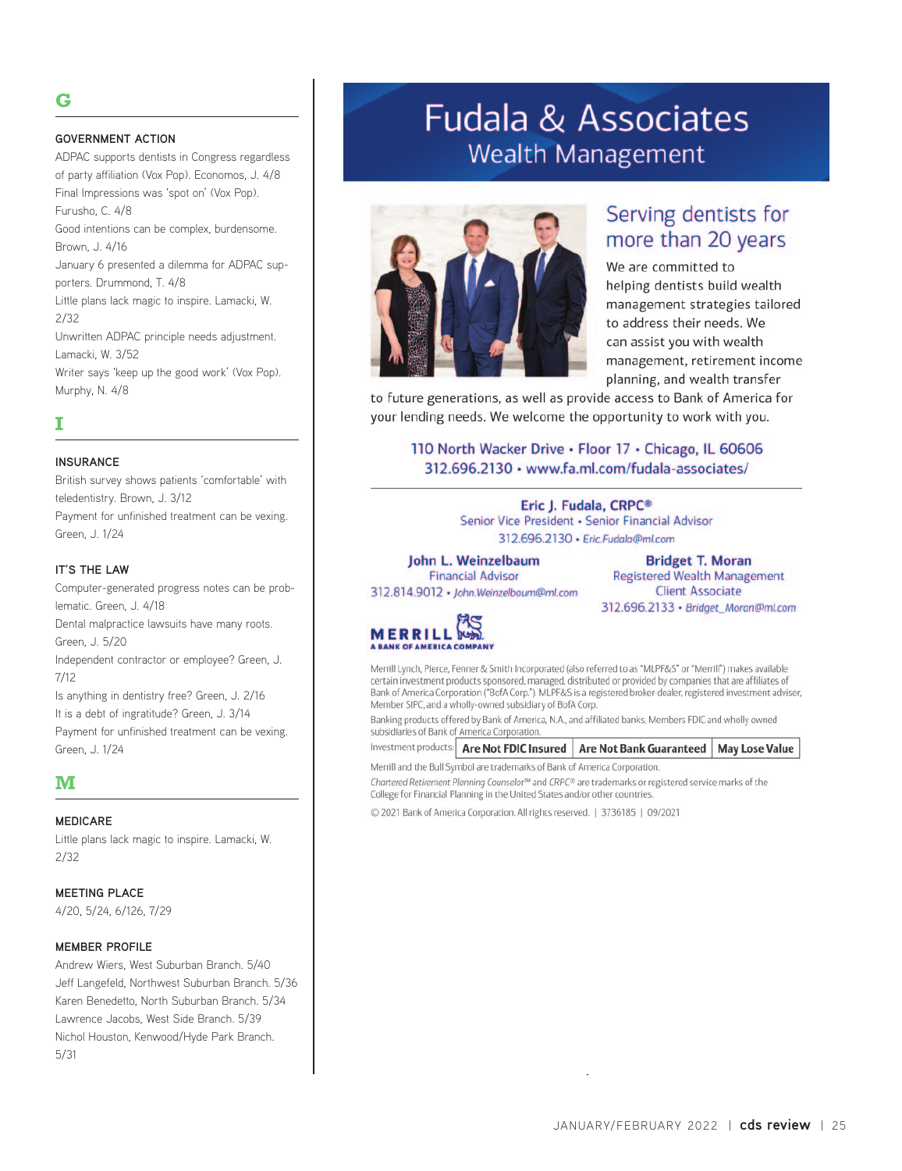## **G**

#### **GOVERNMENT ACTION**

ADPAC supports dentists in Congress regardless of party affiliation (Vox Pop). Economos, J. 4/8 Final Impressions was 'spot on' (Vox Pop). Furusho, C. 4/8 Good intentions can be complex, burdensome. Brown, J. 4/16 January 6 presented a dilemma for ADPAC supporters. Drummond, T. 4/8 Little plans lack magic to inspire. Lamacki, W. 2/32 Unwritten ADPAC principle needs adjustment. Lamacki, W. 3/52 Writer says 'keep up the good work' (Vox Pop). Murphy, N. 4/8

## **I**

#### **INSURANCE**

British survey shows patients 'comfortable' with teledentistry. Brown, J. 3/12 Payment for unfinished treatment can be vexing. Green, J. 1/24

#### **IT'S THE LAW**

Computer-generated progress notes can be problematic. Green, J. 4/18 Dental malpractice lawsuits have many roots. Green, J. 5/20 Independent contractor or employee? Green, J. 7/12 Is anything in dentistry free? Green, J. 2/16 It is a debt of ingratitude? Green, J. 3/14 Payment for unfinished treatment can be vexing. Green, J. 1/24

#### **M**

#### **MEDICARE**

Little plans lack magic to inspire. Lamacki, W. 2/32

#### **MEETING PLACE**

4/20, 5/24, 6/126, 7/29

#### **MEMBER PROFILE**

Andrew Wiers, West Suburban Branch. 5/40 Jeff Langefeld, Northwest Suburban Branch. 5/36 Karen Benedetto, North Suburban Branch. 5/34 Lawrence Jacobs, West Side Branch. 5/39 Nichol Houston, Kenwood/Hyde Park Branch. 5/31

## **Fudala & Associates Wealth Management**



## Serving dentists for more than 20 years

We are committed to helping dentists build wealth management strategies tailored to address their needs. We can assist you with wealth management, retirement income planning, and wealth transfer

to future generations, as well as provide access to Bank of America for your lending needs. We welcome the opportunity to work with you.

110 North Wacker Drive . Floor 17 . Chicago, IL 60606 312.696.2130 · www.fa.ml.com/fudala-associates/

> Eric J. Fudala, CRPC® Senior Vice President · Senior Financial Advisor 312.696.2130 · Eric.Fudala@ml.com

John L. Weinzelbaum **Financial Advisor** 

312.814.9012 · John.Weinzelbaum@ml.com

**Bridget T. Moran Registered Wealth Management Client Associate** 312.696.2133 · Bridget\_Moran@ml.com



Merrill Lynch, Pierce, Fenner & Smith Incorporated (also referred to as "MLPF&S" or "Merrill") makes available certain investment products sponsored, managed, distributed or provided by companies that are affiliates of Bank of America Corporation ("BofA Corp."). MLPF&S is a registered broker-dealer, registered investment adviser, Member SIPC, and a wholly-owned subsidiary of BofA Corp.

Banking products offered by Bank of America, N.A., and affiliated banks, Members FDIC and wholly owned subsidiaries of Bank of America Corporation.

Investment products: | Are Not FDIC Insured | Are Not Bank Guaranteed | **May Lose Value** 

Merrill and the Bull Symbol are trademarks of Bank of America Corporation. Chartered Retirement Planning Counselor<sup>5M</sup> and CRPC® are trademarks or registered service marks of the College for Financial Planning in the United States and/or other countries.

© 2021 Bank of America Corporation. All rights reserved. | 3736185 | 09/2021